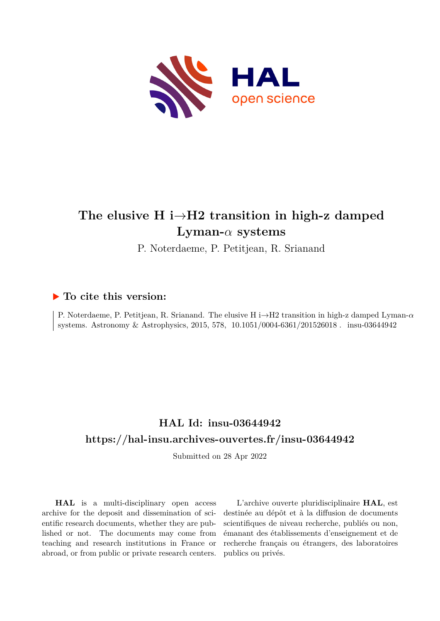

# **The elusive H i***→***H2 transition in high-z damped Lyman-***α* **systems**

P. Noterdaeme, P. Petitjean, R. Srianand

### **To cite this version:**

P. Noterdaeme, P. Petitjean, R. Srianand. The elusive H i*→*H2 transition in high-z damped Lyman-*α* systems. Astronomy & Astrophysics, 2015, 578, 10.1051/0004-6361/201526018. insu-03644942

## **HAL Id: insu-03644942 <https://hal-insu.archives-ouvertes.fr/insu-03644942>**

Submitted on 28 Apr 2022

**HAL** is a multi-disciplinary open access archive for the deposit and dissemination of scientific research documents, whether they are published or not. The documents may come from teaching and research institutions in France or abroad, or from public or private research centers.

L'archive ouverte pluridisciplinaire **HAL**, est destinée au dépôt et à la diffusion de documents scientifiques de niveau recherche, publiés ou non, émanant des établissements d'enseignement et de recherche français ou étrangers, des laboratoires publics ou privés.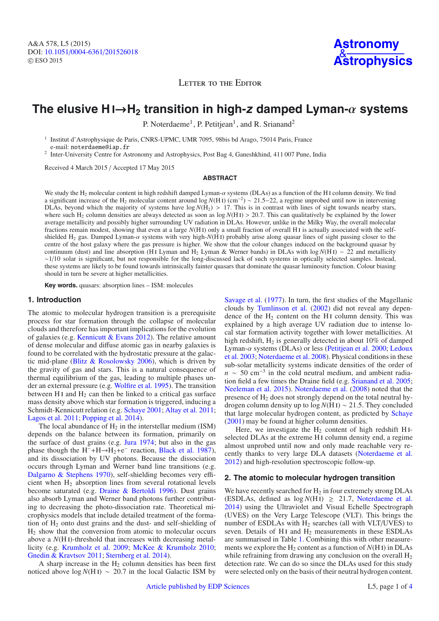A&A 578, L5 (2015) DOI: 10.1051/0004-6361/[201526018](http://dx.doi.org/10.1051/0004-6361/201526018) © ESO 2015

LETTER TO THE EDITOR

### **The elusive H** i→**H2 transition in high-<sup>z</sup> damped Lyman-**α **systems**

P. Noterdaeme<sup>1</sup>, P. Petitjean<sup>1</sup>, and R. Srianand<sup>2</sup>

<sup>1</sup> Institut d'Astrophysique de Paris, CNRS-UPMC, UMR 7095, 98bis bd Arago, 75014 Paris, France e-mail: noterdaeme@iap.fr

<sup>2</sup> Inter-University Centre for Astronomy and Astrophysics, Post Bag 4, Ganeshkhind, 411 007 Pune, India

Received 4 March 2015 / Accepted 17 May 2015

#### **ABSTRACT**

We study the H2 molecular content in high redshift damped Lyman-<sup>α</sup> systems (DLAs) as a function of the H <sup>i</sup> column density. We find a significant increase of the H2 molecular content around log *<sup>N</sup>*(H <sup>i</sup>) (cm−2) <sup>∼</sup> <sup>21</sup>.5−22, a regime unprobed until now in intervening DLAs, beyond which the majority of systems have  $log N(H_2) > 17$ . This is in contrast with lines of sight towards nearby stars, where such H<sub>2</sub> column densities are always detected as soon as  $log N(HI) > 20.7$ . This can qualitatively be explained by the lower average metallicity and possibly higher surrounding UV radiation in DLAs. However, unlike in the Milky Way, the overall molecular fractions remain modest, showing that even at a large *N*(H i) only a small fraction of overall H i is actually associated with the selfshielded H2 gas. Damped Lyman-<sup>α</sup> systems with very high-*N*(H <sup>i</sup>) probably arise along quasar lines of sight passing closer to the centre of the host galaxy where the gas pressure is higher. We show that the colour changes induced on the background quasar by continuum (dust) and line absorption (H i Lyman and H2 Lyman & Werner bands) in DLAs with log *<sup>N</sup>*(H i) <sup>∼</sup> 22 and metallicity  $\sim$ 1/10 solar is significant, but not responsible for the long-discussed lack of such systems in optically selected samples. Instead, these systems are likely to be found towards intrinsically fainter quasars that dominate the quasar luminosity function. Colour biasing should in turn be severe at higher metallicities.

**Key words.** quasars: absorption lines – ISM: molecules

#### **1. Introduction**

The atomic to molecular hydrogen transition is a prerequisite process for star formation through the collapse of molecular clouds and therefore has important implications for the evolution of galaxies (e.g. Kennicutt & Evans 2012). The relative amount of dense molecular and diffuse atomic gas in nearby galaxies is found to be correlated with the hydrostatic pressure at the galactic mid-plane (Blitz  $&$  Rosolowsky 2006), which is driven by the gravity of gas and stars. This is a natural consequence of thermal equilibrium of the gas, leading to multiple phases under an external pressure (e.g. Wolfire et al. 1995). The transition between H<sub>I</sub> and  $H_2$  can then be linked to a critical gas surface mass density above which star formation is triggered, inducing a Schmidt-Kennicutt relation (e.g. Schaye 2001; Altay et al. 2011; Lagos et al. 2011; Popping et al. 2014).

The local abundance of  $H_2$  in the interstellar medium (ISM) depends on the balance between its formation, primarily on the surface of dust grains (e.g. Jura 1974; but also in the gas phase though the H<sup>-</sup>+H→H<sub>2</sub>+e<sup>-</sup> reaction, Black et al. 1987), and its dissociation by UV photons. Because the dissociation occurs through Lyman and Werner band line transitions (e.g. Dalgarno & Stephens 1970), self-shielding becomes very efficient when H2 absorption lines from several rotational levels become saturated (e.g. Draine & Bertoldi 1996). Dust grains also absorb Lyman and Werner band photons further contributing to decreasing the photo-dissociation rate. Theoretical microphysics models that include detailed treatment of the formation of  $H<sub>2</sub>$  onto dust grains and the dust- and self-shielding of  $H<sub>2</sub>$  show that the conversion from atomic to molecular occurs above a *N*(H i)-threshold that increases with decreasing metallicity (e.g. Krumholz et al. 2009; McKee & Krumholz 2010; Gnedin & Kravtsov 2011; Sternberg et al. 2014).

A sharp increase in the  $H_2$  column densities has been first noticed above  $log N(H I)$  ~ 20.7 in the local Galactic ISM by Savage et al. (1977). In turn, the first studies of the Magellanic clouds by Tumlinson et al. (2002) did not reveal any dependence of the  $H_2$  content on the H<sub>I</sub> column density. This was explained by a high average UV radiation due to intense local star formation activity together with lower metallicities. At high redshift, H<sub>2</sub> is generally detected in about 10% of damped Lyman- $\alpha$  systems (DLAs) or less (Petitiean et al. 2000; Ledoux et al. 2003; Noterdaeme et al. 2008). Physical conditions in these sub-solar metallicity systems indicate densities of the order of  $n \sim 50$  cm<sup>-3</sup> in the cold neutral medium, and ambient radiation field a few times the Draine field (e.g. Srianand et al. 2005; Neeleman et al. 2015). Noterdaeme et al. (2008) noted that the presence of  $H_2$  does not strongly depend on the total neutral hydrogen column density up to  $log N(H I) \sim 21.5$ . They concluded that large molecular hydrogen content, as predicted by Schaye (2001) may be found at higher column densities.

Here, we investigate the  $H_2$  content of high redshift HIselected DLAs at the extreme H<sub>I</sub> column density end, a regime almost unprobed until now and only made reachable very recently thanks to very large DLA datasets (Noterdaeme et al. 2012) and high-resolution spectroscopic follow-up.

#### **2. The atomic to molecular hydrogen transition**

We have recently searched for  $H_2$  in four extremely strong DLAs (ESDLAs, defined as  $log N(HI) \geq 21.7$ , Noterdaeme et al. 2014) using the Ultraviolet and Visual Echelle Spectrograph (UVES) on the Very Large Telescope (VLT). This brings the number of ESDLAs with  $H<sub>2</sub>$  searches (all with VLT/UVES) to seven. Details of H<sub>I</sub> and  $H_2$  measurements in these ESDLAs are summarised in Table 1. Combining this with other measurements we explore the  $H_2$  content as a function of  $N(H I)$  in DLAs while refraining from drawing any conclusion on the overall  $H_2$ detection rate. We can do so since the DLAs used for this study were selected only on the basis of their neutral hydrogen content.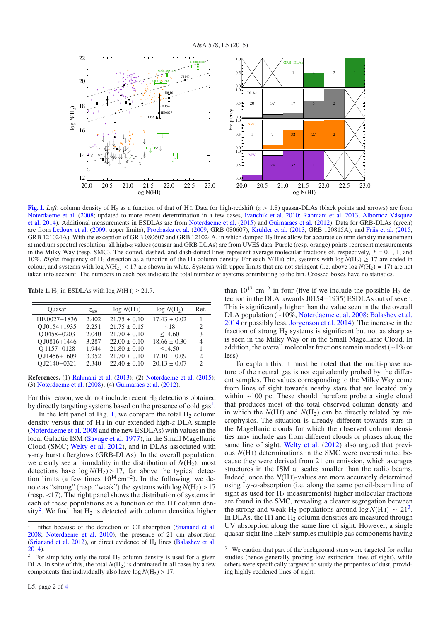

**[Fig. 1.](http://dexter.edpsciences.org/applet.php?DOI=10.1051/0004-6361/201526018&pdf_id=1)** *Left*: column density of H<sub>2</sub> as a function of that of H<sub>I</sub>. Data for high-redshift ( $z > 1.8$ ) quasar-DLAs (black points and arrows) are from Noterdaeme et al. (2008; updated to more recent determination in a few cases, Ivanchik et al. 2010; Rahmani et al. 2013; Albornoz Vásquez et al. 2014). Additional measurements in ESDLAs are from Noterdaeme et al. (2015) and Guimarães et al. (2012). Data for GRB-DLAs (green) are from Ledoux et al. (2009, upper limits), Prochaska et al. (2009, GRB 080607), Krühler et al. (2013, GRB 120815A), and Friis et al. (2015, GRB 121024A). With the exception of GRB 080607 and GRB 121024A, in which damped H<sub>2</sub> lines allow for accurate column density measurement at medium spectral resolution, all high-*z* values (quasar and GRB DLAs) are from UVES data. Purple (resp. orange) points represent measurements in the Milky Way (resp. SMC). The dotted, dashed, and dash-dotted lines represent average molecular fractions of, respectively,  $f = 0.1$ , 1, and 10%. *Right*: frequency of H<sub>2</sub> detection as a function of the H<sub>I</sub> column density. For each  $N(H_1)$  bin, systems with  $log N(H_2) \ge 17$  are coded in colour, and systems with  $\log N(H_2)$  < 17 are shown in white. Systems with upper limits that are not stringent (i.e. above  $\log N(H_2) = 17$ ) are not taken into account. The numbers in each box indicate the total number of systems contributing to the bin. Crossed boxes have no statistics.

**Table 1.** H<sub>2</sub> in ESDLAs with log  $N(H I) \ge 21.7$ .

| Ouasar        | $z_{\rm abs}$ | log N(HI)        | $log N(H_2)$     | Ref.                        |
|---------------|---------------|------------------|------------------|-----------------------------|
| HE 0027-1836  | 2.402         | $21.75 \pm 0.10$ | $17.43 \pm 0.02$ |                             |
| O J0154+1935  | 2.251         | $21.75 \pm 0.15$ | $\sim$ 18        | $\mathcal{D}_{\mathcal{A}}$ |
| $O$ 0458-0203 | 2.040         | $21.70 \pm 0.10$ | < 14.60          | 3                           |
| O J0816+1446  | 3.287         | $22.00 \pm 0.10$ | $18.66 \pm 0.30$ | 4                           |
| O1157+0128    | 1.944         | $21.80 \pm 0.10$ | < 14.50          |                             |
| O J1456+1609  | 3.352         | $21.70 \pm 0.10$ | $17.10 \pm 0.09$ | $\mathfrak{D}$              |
| OJ2140-0321   | 2.340         | $22.40 \pm 0.10$ | $20.13 \pm 0.07$ | 2                           |

**References.** (1) Rahmani et al. (2013); (2) Noterdaeme et al. (2015); (3) Noterdaeme et al. (2008); (4) Guimarães et al. (2012).

For this reason, we do not include recent  $H_2$  detections obtained by directly targeting systems based on the presence of cold gas<sup>1</sup>.

In the left panel of Fig. 1, we compare the total  $H_2$  column density versus that of H i in our extended high-*z* DLA sample (Noterdaeme et al. 2008 and the new ESDLAs) with values in the local Galactic ISM (Savage et al. 1977), in the Small Magellanic Cloud (SMC; Welty et al. 2012), and in DLAs associated with γ-ray burst afterglows (GRB-DLAs). In the overall population, we clearly see a bimodality in the distribution of  $N(H_2)$ : most detections have  $log N(H_2) > 17$ , far above the typical detection limits (a few times  $10^{14}$  cm<sup>-2</sup>). In the following, we denote as "strong" (resp. "weak") the systems with  $\log N(H_2) > 17$ (resp. <17). The right panel shows the distribution of systems in each of these populations as a function of the H<sub>I</sub> column density<sup>2</sup>. We find that  $H_2$  is detected with column densities higher than  $10^{17}$  cm<sup>-2</sup> in four (five if we include the possible H<sub>2</sub> detection in the DLA towards J0154+1935) ESDLAs out of seven. This is significantly higher than the value seen in the the overall DLA population (∼10%, Noterdaeme et al. 2008; Balashev et al. 2014 or possibly less, Jorgenson et al. 2014). The increase in the fraction of strong  $H_2$  systems is significant but not as sharp as is seen in the Milky Way or in the Small Magellanic Cloud. In addition, the overall molecular fractions remain modest (∼1% or less).

To explain this, it must be noted that the multi-phase nature of the neutral gas is not equivalently probed by the different samples. The values corresponding to the Milky Way come from lines of sight towards nearby stars that are located only within ∼100 pc. These should therefore probe a single cloud that produces most of the total observed column density and in which the  $N(HI)$  and  $N(H<sub>2</sub>)$  can be directly related by microphysics. The situation is already different towards stars in the Magellanic clouds for which the observed column densities may include gas from different clouds or phases along the same line of sight. Welty et al. (2012) also argued that previous *N*(H i) determinations in the SMC were overestimated because they were derived from 21 cm emission, which averages structures in the ISM at scales smaller than the radio beams. Indeed, once the *N*(H i)-values are more accurately determined using Ly- $\alpha$ -absorption (i.e. along the same pencil-beam line of sight as used for  $H_2$  measurements) higher molecular fractions are found in the SMC, revealing a clearer segregation between the strong and weak H<sub>2</sub> populations around  $\log N(H I) \sim 21^3$ . In DLAs, the H<sub>I</sub> and  $H_2$  column densities are measured through UV absorption along the same line of sight. However, a single quasar sight line likely samples multiple gas components having

Either because of the detection of C<sub>I</sub> absorption (Srianand et al. 2008; Noterdaeme et al. 2010), the presence of 21 cm absorption (Srianand et al. 2012), or direct evidence of  $H_2$  lines (Balashev et al. 2014).

<sup>&</sup>lt;sup>2</sup> For simplicity only the total  $H_2$  column density is used for a given DLA. In spite of this, the total  $N(H_2)$  is dominated in all cases by a few components that individually also have  $log N(H_2) > 17$ .

We caution that part of the background stars were targeted for stellar studies (hence generally probing low extinction lines of sight), while others were specifically targeted to study the properties of dust, providing highly reddened lines of sight.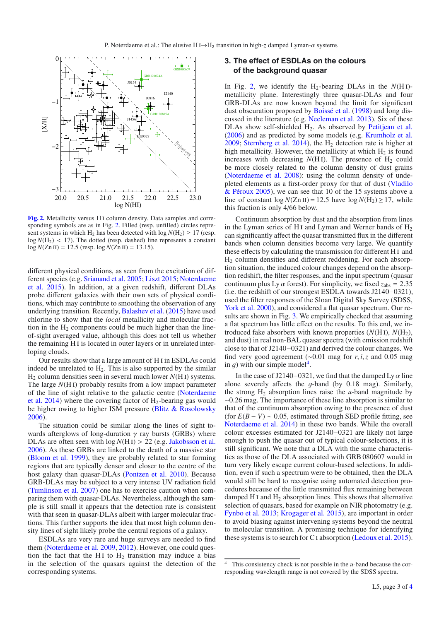

**[Fig. 2.](http://dexter.edpsciences.org/applet.php?DOI=10.1051/0004-6361/201526018&pdf_id=2)** Metallicity versus H<sub>I</sub> column density. Data samples and corresponding symbols are as in Fig. 2. Filled (resp. unfilled) circles represent systems in which H<sub>2</sub> has been detected with  $log N(H_2) \ge 17$  (resp.  $log N(H_2)$  < 17). The dotted (resp. dashed) line represents a constant  $log N(Zn II) = 12.5$  (resp.  $log N(Zn II) = 13.15$ ).

different physical conditions, as seen from the excitation of different species (e.g. Srianand et al. 2005; Liszt 2015; Noterdaeme et al. 2015). In addition, at a given redshift, different DLAs probe different galaxies with their own sets of physical conditions, which may contribute to smoothing the observation of any underlying transition. Recently, Balashev et al. (2015) have used chlorine to show that the *local* metallicity and molecular fraction in the  $H<sub>2</sub>$  components could be much higher than the lineof-sight averaged value, although this does not tell us whether the remaining H i is located in outer layers or in unrelated interloping clouds.

Our results show that a large amount of H i in ESDLAs could indeed be unrelated to  $H_2$ . This is also supported by the similar H2 column densities seen in several much lower *N*(H i) systems. The large  $N(H I)$  probably results from a low impact parameter of the line of sight relative to the galactic centre (Noterdaeme et al. 2014) where the covering factor of  $H_2$ -bearing gas would be higher owing to higher ISM pressure (Blitz & Rosolowsky 2006).

The situation could be similar along the lines of sight towards afterglows of long-duration  $\gamma$  ray bursts (GRBs) where DLAs are often seen with  $log N(HI) > 22$  (e.g. Jakobsson et al. 2006). As these GRBs are linked to the death of a massive star (Bloom et al. 1999), they are probably related to star forming regions that are typically denser and closer to the centre of the host galaxy than quasar-DLAs (Pontzen et al. 2010). Because GRB-DLAs may be subject to a very intense UV radiation field (Tumlinson et al. 2007) one has to exercise caution when comparing them with quasar-DLAs. Nevertheless, although the sample is still small it appears that the detection rate is consistent with that seen in quasar-DLAs albeit with larger molecular fractions. This further supports the idea that most high column density lines of sight likely probe the central regions of a galaxy.

ESDLAs are very rare and huge surveys are needed to find them (Noterdaeme et al. 2009, 2012). However, one could question the fact that the H<sub>1</sub> to H<sub>2</sub> transition may induce a bias in the selection of the quasars against the detection of the corresponding systems.

#### **3. The effect of ESDLAs on the colours of the background quasar**

In Fig. 2, we identify the  $H_2$ -bearing DLAs in the  $N(H I)$ metallicity plane. Interestingly three quasar-DLAs and four GRB-DLAs are now known beyond the limit for significant dust obscuration proposed by Boissé et al. (1998) and long discussed in the literature (e.g. Neeleman et al. 2013). Six of these DLAs show self-shielded H<sub>2</sub>. As observed by Petitjean et al. (2006) and as predicted by some models (e.g. Krumholz et al. 2009; Sternberg et al. 2014), the  $H_2$  detection rate is higher at high metallicity. However, the metallicity at which  $H_2$  is found increases with decreasing  $N(H)$ . The presence of  $H_2$  could be more closely related to the column density of dust grains (Noterdaeme et al. 2008): using the column density of undepleted elements as a first-order proxy for that of dust (Vladilo & Péroux 2005), we can see that 10 of the 15 systems above a line of constant  $\log N(Zn \text{ II}) = 12.5$  have  $\log N(H_2) \ge 17$ , while this fraction is only 4/66 below.

Continuum absorption by dust and the absorption from lines in the Lyman series of H<sub>I</sub> and Lyman and Werner bands of  $H_2$ can significantly affect the quasar transmitted flux in the different bands when column densities become very large. We quantify these effects by calculating the transmission for different H i and H2 column densities and different reddening. For each absorption situation, the induced colour changes depend on the absorption redshift, the filter responses, and the input spectrum (quasar continuum plus Ly  $\alpha$  forest). For simplicity, we fixed  $z_{abs} = 2.35$ (i.e. the redshift of our strongest ESDLA towards J2140−0321), used the filter responses of the Sloan Digital Sky Survey (SDSS, York et al. 2000), and considered a flat quasar spectrum. Our results are shown in Fig. 3. We empirically checked that assuming a flat spectrum has little effect on the results. To this end, we introduced fake absorbers with known properties  $(N(HI), N(H_2))$ , and dust) in real non-BAL quasar spectra (with emission redshift close to that of J2140−0321) and derived the colour changes. We find very good agreement (∼0.01 mag for *<sup>r</sup>*, *<sup>i</sup>*,*<sup>z</sup>* and 0.05 mag in g) with our simple model<sup>4</sup>.

In the case of J2140–0321, we find that the damped Ly  $\alpha$  line alone severely affects the q-band (by  $0.18$  mag). Similarly, the strong  $H_2$  absorption lines raise the *u*-band magnitude by ∼0.26 mag. The importance of these line absorption is similar to that of the continuum absorption owing to the presence of dust (for  $E(B - V) \sim 0.05$ , estimated through SED profile fitting, see Noterdaeme et al. 2014) in these two bands. While the overall colour excesses estimated for J2140−0321 are likely not large enough to push the quasar out of typical colour-selections, it is still significant. We note that a DLA with the same characteristics as those of the DLA associated with GRB 080607 would in turn very likely escape current colour-based selections. In addition, even if such a spectrum were to be obtained, then the DLA would still be hard to recognise using automated detection procedures because of the little transmitted flux remaining between damped H<sub>I</sub> and  $H_2$  absorption lines. This shows that alternative selection of quasars, based for example on NIR photometry (e.g. Fynbo et al. 2013; Krogager et al. 2015), are important in order to avoid biasing against intervening systems beyond the neutral to molecular transition. A promising technique for identifying these systems is to search for Ci absorption (Ledoux et al. 2015).

<sup>4</sup> This consistency check is not possible in the *u*-band because the corresponding wavelength range is not covered by the SDSS spectra.